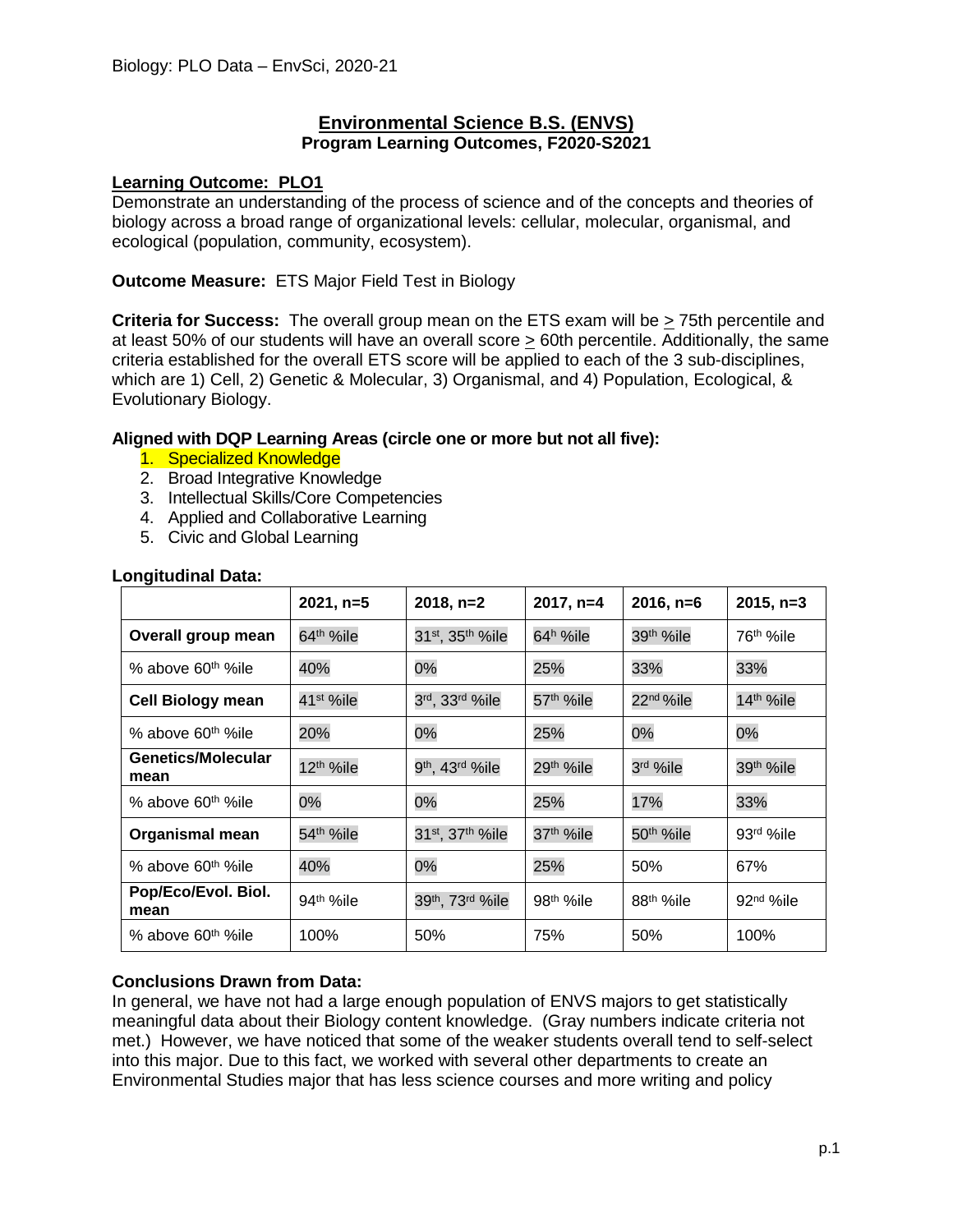## **Environmental Science B.S. (ENVS) Program Learning Outcomes, F2020-S2021**

#### **Learning Outcome: PLO1**

Demonstrate an understanding of the process of science and of the concepts and theories of biology across a broad range of organizational levels: cellular, molecular, organismal, and ecological (population, community, ecosystem).

**Outcome Measure:** ETS Major Field Test in Biology

**Criteria for Success:** The overall group mean on the ETS exam will be > 75th percentile and at least 50% of our students will have an overall score > 60th percentile. Additionally, the same criteria established for the overall ETS score will be applied to each of the 3 sub-disciplines, which are 1) Cell, 2) Genetic & Molecular, 3) Organismal, and 4) Population, Ecological, & Evolutionary Biology.

#### **Aligned with DQP Learning Areas (circle one or more but not all five):**

- 1. Specialized Knowledge
- 2. Broad Integrative Knowledge
- 3. Intellectual Skills/Core Competencies
- 4. Applied and Collaborative Learning
- 5. Civic and Global Learning

|                                | $2021, n=5$           | $2018, n=2$                             | $2017, n=4$            | $2016, n=6$           | $2015, n=3$           |
|--------------------------------|-----------------------|-----------------------------------------|------------------------|-----------------------|-----------------------|
| Overall group mean             | 64 <sup>th</sup> %ile | 31st, 35th %ile                         | 64 <sup>h</sup> %ile   | 39th %ile             | 76 <sup>th</sup> %ile |
| % above 60 <sup>th %</sup> ile | 40%                   | 0%                                      | 25%                    | 33%                   | 33%                   |
| <b>Cell Biology mean</b>       | 41 <sup>st</sup> %ile | 3rd, 33rd %ile                          | 57 <sup>th</sup> %ile  | 22 <sup>nd</sup> %ile | 14th %ile             |
| % above 60 <sup>th %</sup> ile | 20%                   | 0%                                      | 25%                    | 0%                    | 0%                    |
| Genetics/Molecular<br>mean     | 12 <sup>th</sup> %ile | 9 <sup>th</sup> , 43 <sup>rd</sup> %ile | 29 <sup>th %</sup> ile | 3rd %ile              | 39th %ile             |
| % above 60 <sup>th %</sup> ile | 0%                    | 0%                                      | 25%                    | 17%                   | 33%                   |
| Organismal mean                | 54 <sup>th</sup> %ile | 31st, 37th %ile                         | 37 <sup>th</sup> %ile  | 50 <sup>th</sup> %ile | 93rd %ile             |
| % above 60 <sup>th %</sup> ile | 40%                   | 0%                                      | 25%                    | 50%                   | 67%                   |
| Pop/Eco/Evol. Biol.<br>mean    | 94th %ile             | 39th, 73rd %ile                         | 98 <sup>th</sup> %ile  | 88 <sup>th</sup> %ile | $92nd$ %ile           |
| % above 60 <sup>th</sup> %ile  | 100%                  | 50%                                     | 75%                    | 50%                   | 100%                  |

#### **Longitudinal Data:**

## **Conclusions Drawn from Data:**

In general, we have not had a large enough population of ENVS majors to get statistically meaningful data about their Biology content knowledge. (Gray numbers indicate criteria not met.) However, we have noticed that some of the weaker students overall tend to self-select into this major. Due to this fact, we worked with several other departments to create an Environmental Studies major that has less science courses and more writing and policy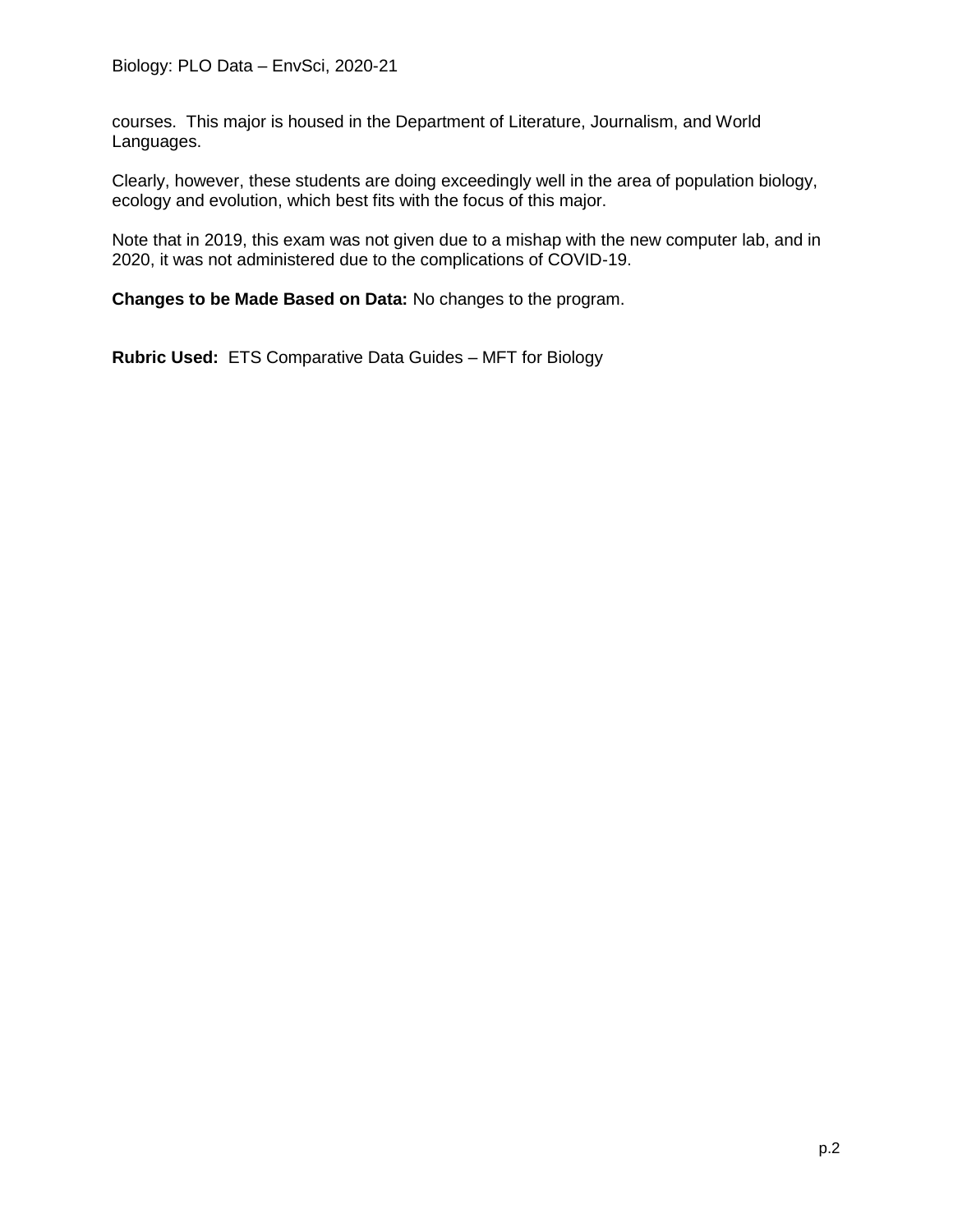courses. This major is housed in the Department of Literature, Journalism, and World Languages.

Clearly, however, these students are doing exceedingly well in the area of population biology, ecology and evolution, which best fits with the focus of this major.

Note that in 2019, this exam was not given due to a mishap with the new computer lab, and in 2020, it was not administered due to the complications of COVID-19.

**Changes to be Made Based on Data:** No changes to the program.

**Rubric Used:** ETS Comparative Data Guides – MFT for Biology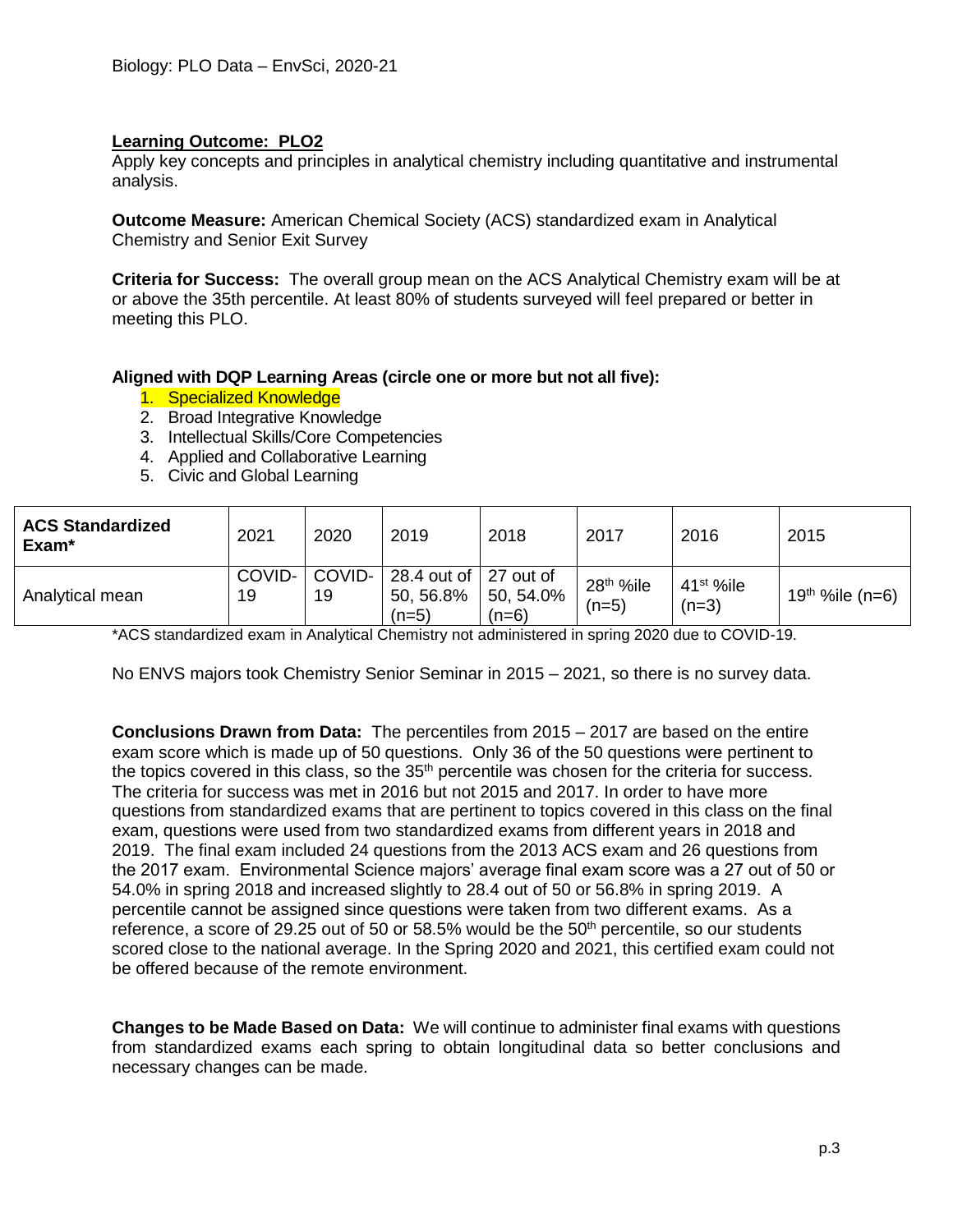Apply key concepts and principles in analytical chemistry including quantitative and instrumental analysis.

**Outcome Measure:** American Chemical Society (ACS) standardized exam in Analytical Chemistry and Senior Exit Survey

**Criteria for Success:** The overall group mean on the ACS Analytical Chemistry exam will be at or above the 35th percentile. At least 80% of students surveyed will feel prepared or better in meeting this PLO.

#### **Aligned with DQP Learning Areas (circle one or more but not all five):**

- 1. Specialized Knowledge
- 2. Broad Integrative Knowledge
- 3. Intellectual Skills/Core Competencies
- 4. Applied and Collaborative Learning
- 5. Civic and Global Learning

| <b>ACS Standardized</b><br>Exam <sup>*</sup> | 2021         | 2020         | 2019                                            | 2018                 | 2017                             | 2016                   | 2015                         |
|----------------------------------------------|--------------|--------------|-------------------------------------------------|----------------------|----------------------------------|------------------------|------------------------------|
| Analytical mean                              | COVID-<br>19 | COVID-<br>19 | 28.4 out of   27 out of<br>50, 56.8%<br>$(n=5)$ | 50, 54.0%<br>$(n=6)$ | 28 <sup>th</sup> %ile<br>$(n=5)$ | $41st$ %ile<br>$(n=3)$ | 19 <sup>th %</sup> ile (n=6) |

\*ACS standardized exam in Analytical Chemistry not administered in spring 2020 due to COVID-19.

No ENVS majors took Chemistry Senior Seminar in 2015 – 2021, so there is no survey data.

**Conclusions Drawn from Data:** The percentiles from 2015 – 2017 are based on the entire exam score which is made up of 50 questions. Only 36 of the 50 questions were pertinent to the topics covered in this class, so the  $35<sup>th</sup>$  percentile was chosen for the criteria for success. The criteria for success was met in 2016 but not 2015 and 2017. In order to have more questions from standardized exams that are pertinent to topics covered in this class on the final exam, questions were used from two standardized exams from different years in 2018 and 2019. The final exam included 24 questions from the 2013 ACS exam and 26 questions from the 2017 exam. Environmental Science majors' average final exam score was a 27 out of 50 or 54.0% in spring 2018 and increased slightly to 28.4 out of 50 or 56.8% in spring 2019. A percentile cannot be assigned since questions were taken from two different exams. As a reference, a score of 29.25 out of 50 or 58.5% would be the 50<sup>th</sup> percentile, so our students scored close to the national average. In the Spring 2020 and 2021, this certified exam could not be offered because of the remote environment.

**Changes to be Made Based on Data:** We will continue to administer final exams with questions from standardized exams each spring to obtain longitudinal data so better conclusions and necessary changes can be made.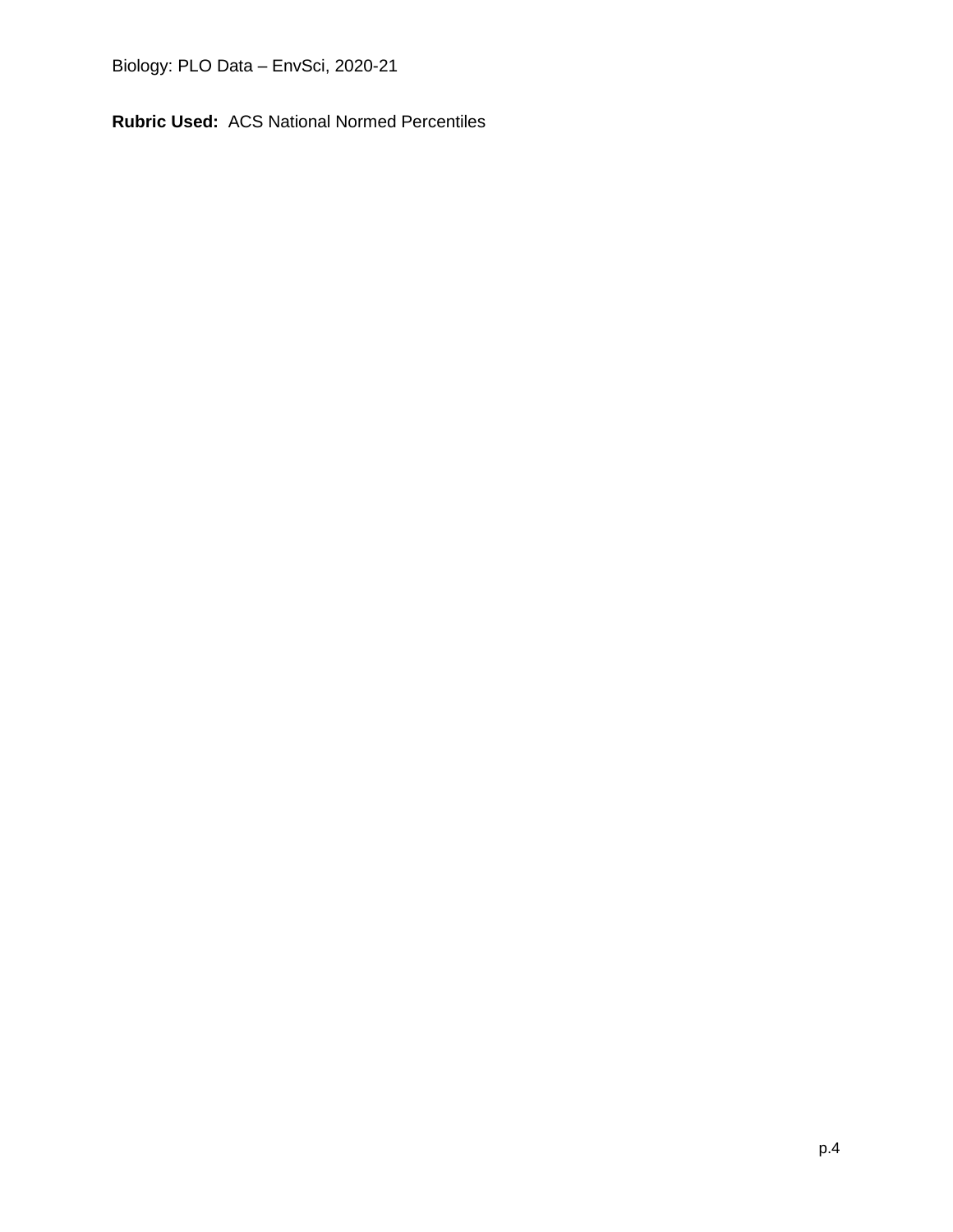Biology: PLO Data – EnvSci, 2020-21

**Rubric Used:** ACS National Normed Percentiles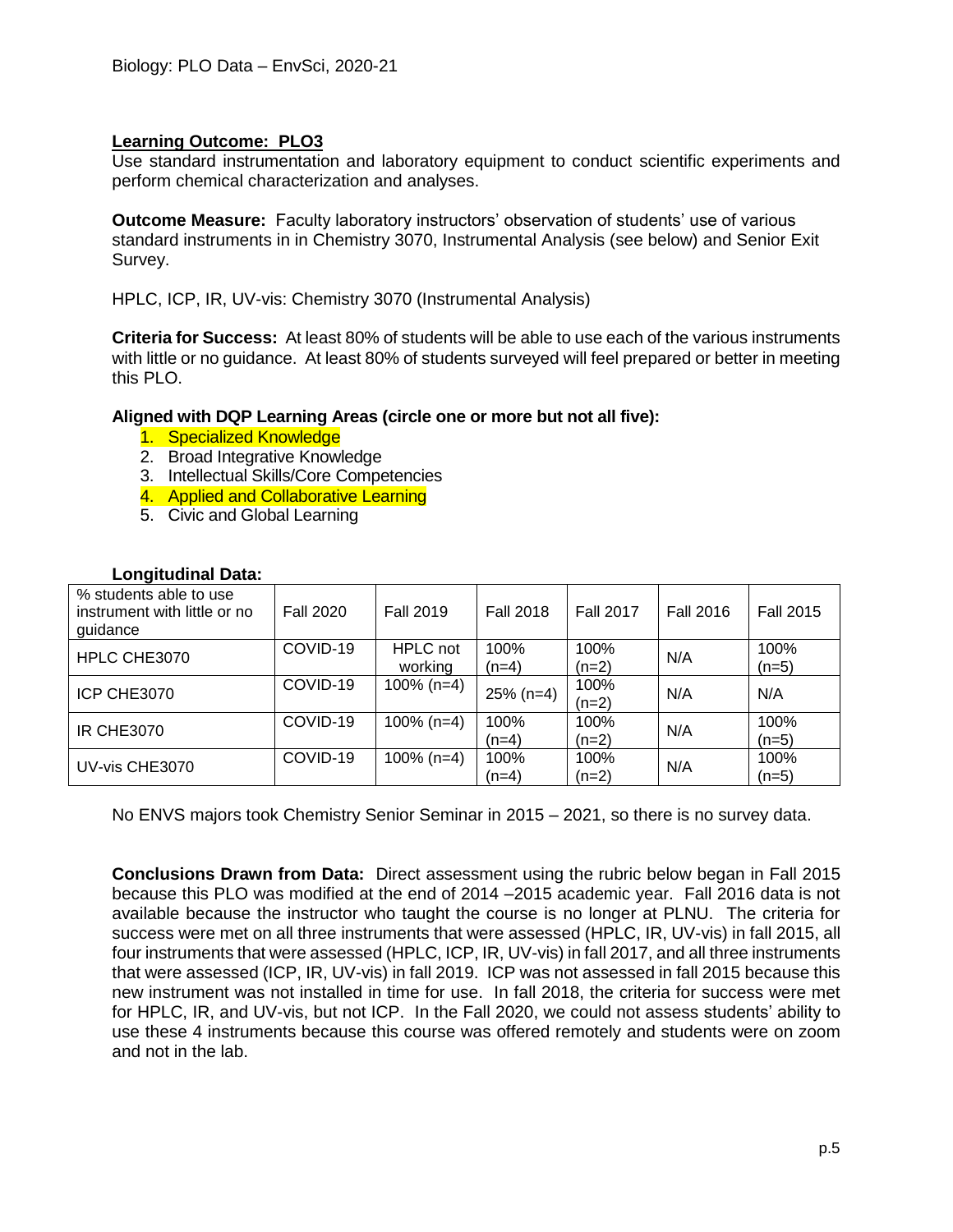Use standard instrumentation and laboratory equipment to conduct scientific experiments and perform chemical characterization and analyses.

**Outcome Measure:** Faculty laboratory instructors' observation of students' use of various standard instruments in in Chemistry 3070, Instrumental Analysis (see below) and Senior Exit Survey.

HPLC, ICP, IR, UV-vis: Chemistry 3070 (Instrumental Analysis)

**Criteria for Success:** At least 80% of students will be able to use each of the various instruments with little or no guidance. At least 80% of students surveyed will feel prepared or better in meeting this PLO.

**Aligned with DQP Learning Areas (circle one or more but not all five):**

- 1. Specialized Knowledge
- 2. Broad Integrative Knowledge
- 3. Intellectual Skills/Core Competencies
- 4. Applied and Collaborative Learning
- 5. Civic and Global Learning

| -----                                                              |                  |                            |                  |                  |                  |                  |
|--------------------------------------------------------------------|------------------|----------------------------|------------------|------------------|------------------|------------------|
| % students able to use<br>instrument with little or no<br>guidance | <b>Fall 2020</b> | <b>Fall 2019</b>           | <b>Fall 2018</b> | <b>Fall 2017</b> | <b>Fall 2016</b> | <b>Fall 2015</b> |
| HPLC CHE3070                                                       | COVID-19         | <b>HPLC</b> not<br>working | 100%<br>$(n=4)$  | 100%<br>$(n=2)$  | N/A              | 100%<br>$(n=5)$  |
| ICP CHE3070                                                        | COVID-19         | $100\%$ (n=4)              | $25\%$ (n=4)     | 100%<br>$(n=2)$  | N/A              | N/A              |
| <b>IR CHE3070</b>                                                  | COVID-19         | $100\%$ (n=4)              | 100%<br>$(n=4)$  | 100%<br>$(n=2)$  | N/A              | 100%<br>$(n=5)$  |
| UV-vis CHE3070                                                     | COVID-19         | $100\%$ (n=4)              | 100%<br>$(n=4)$  | 100%<br>$(n=2)$  | N/A              | 100%<br>$(n=5)$  |

## **Longitudinal Data:**

No ENVS majors took Chemistry Senior Seminar in 2015 – 2021, so there is no survey data.

**Conclusions Drawn from Data:** Direct assessment using the rubric below began in Fall 2015 because this PLO was modified at the end of 2014 –2015 academic year. Fall 2016 data is not available because the instructor who taught the course is no longer at PLNU. The criteria for success were met on all three instruments that were assessed (HPLC, IR, UV-vis) in fall 2015, all four instruments that were assessed (HPLC, ICP, IR, UV-vis) in fall 2017, and all three instruments that were assessed (ICP, IR, UV-vis) in fall 2019. ICP was not assessed in fall 2015 because this new instrument was not installed in time for use. In fall 2018, the criteria for success were met for HPLC, IR, and UV-vis, but not ICP. In the Fall 2020, we could not assess students' ability to use these 4 instruments because this course was offered remotely and students were on zoom and not in the lab.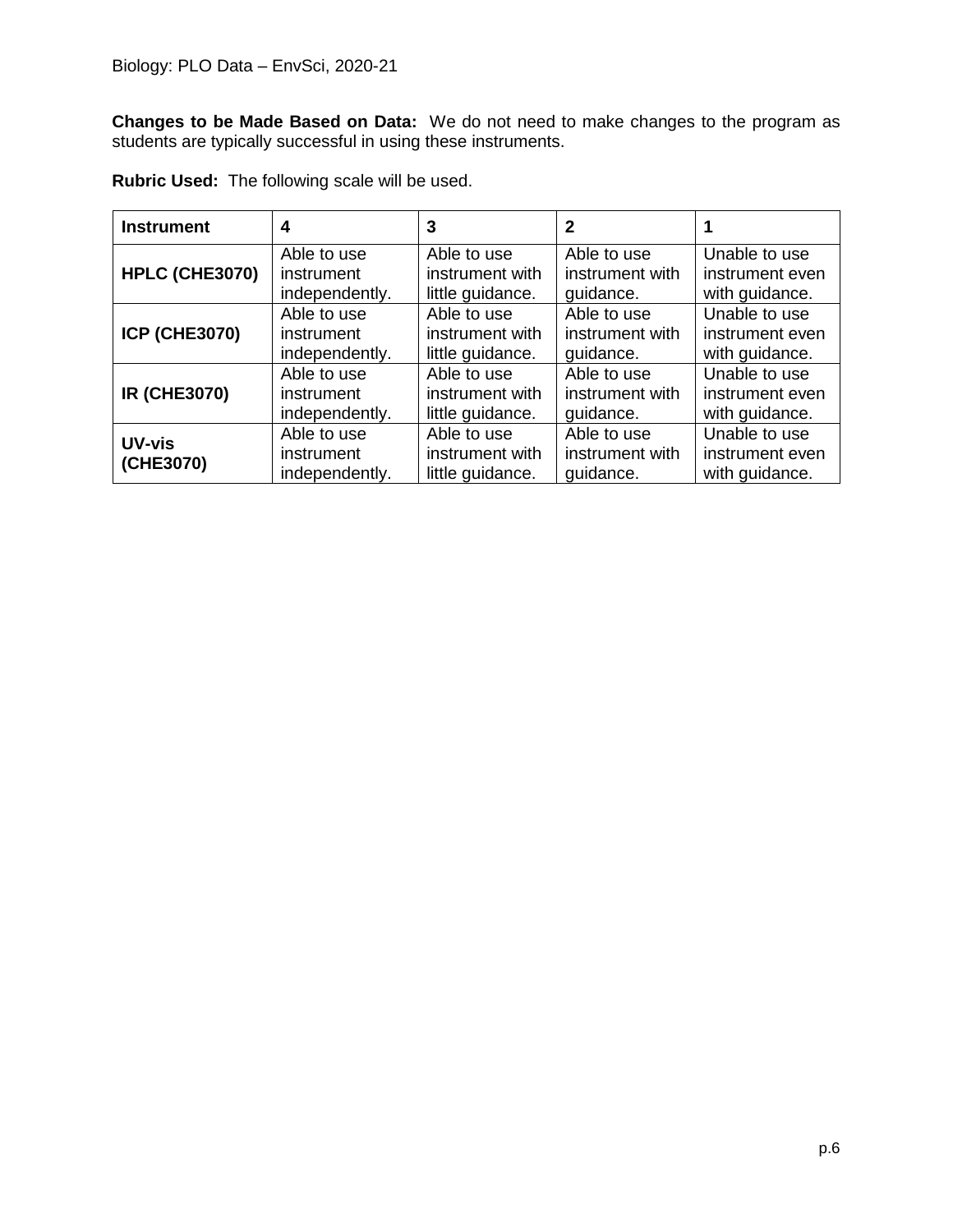**Changes to be Made Based on Data:** We do not need to make changes to the program as students are typically successful in using these instruments.

| <b>Instrument</b>          | 4                                           | 3                                                  | $\mathbf 2$                                 |                                                    |
|----------------------------|---------------------------------------------|----------------------------------------------------|---------------------------------------------|----------------------------------------------------|
| HPLC (CHE3070)             | Able to use                                 | Able to use                                        | Able to use                                 | Unable to use                                      |
|                            | instrument                                  | instrument with                                    | instrument with                             | instrument even                                    |
|                            | independently.                              | little guidance.                                   | quidance.                                   | with guidance.                                     |
| <b>ICP (CHE3070)</b>       | Able to use                                 | Able to use                                        | Able to use                                 | Unable to use                                      |
|                            | instrument                                  | instrument with                                    | instrument with                             | instrument even                                    |
|                            | independently.                              | little guidance.                                   | quidance.                                   | with guidance.                                     |
| <b>IR (CHE3070)</b>        | Able to use                                 | Able to use                                        | Able to use                                 | Unable to use                                      |
|                            | instrument                                  | instrument with                                    | instrument with                             | instrument even                                    |
|                            | independently.                              | little guidance.                                   | guidance.                                   | with guidance.                                     |
| <b>UV-vis</b><br>(CHE3070) | Able to use<br>instrument<br>independently. | Able to use<br>instrument with<br>little guidance. | Able to use<br>instrument with<br>quidance. | Unable to use<br>instrument even<br>with guidance. |

**Rubric Used:** The following scale will be used.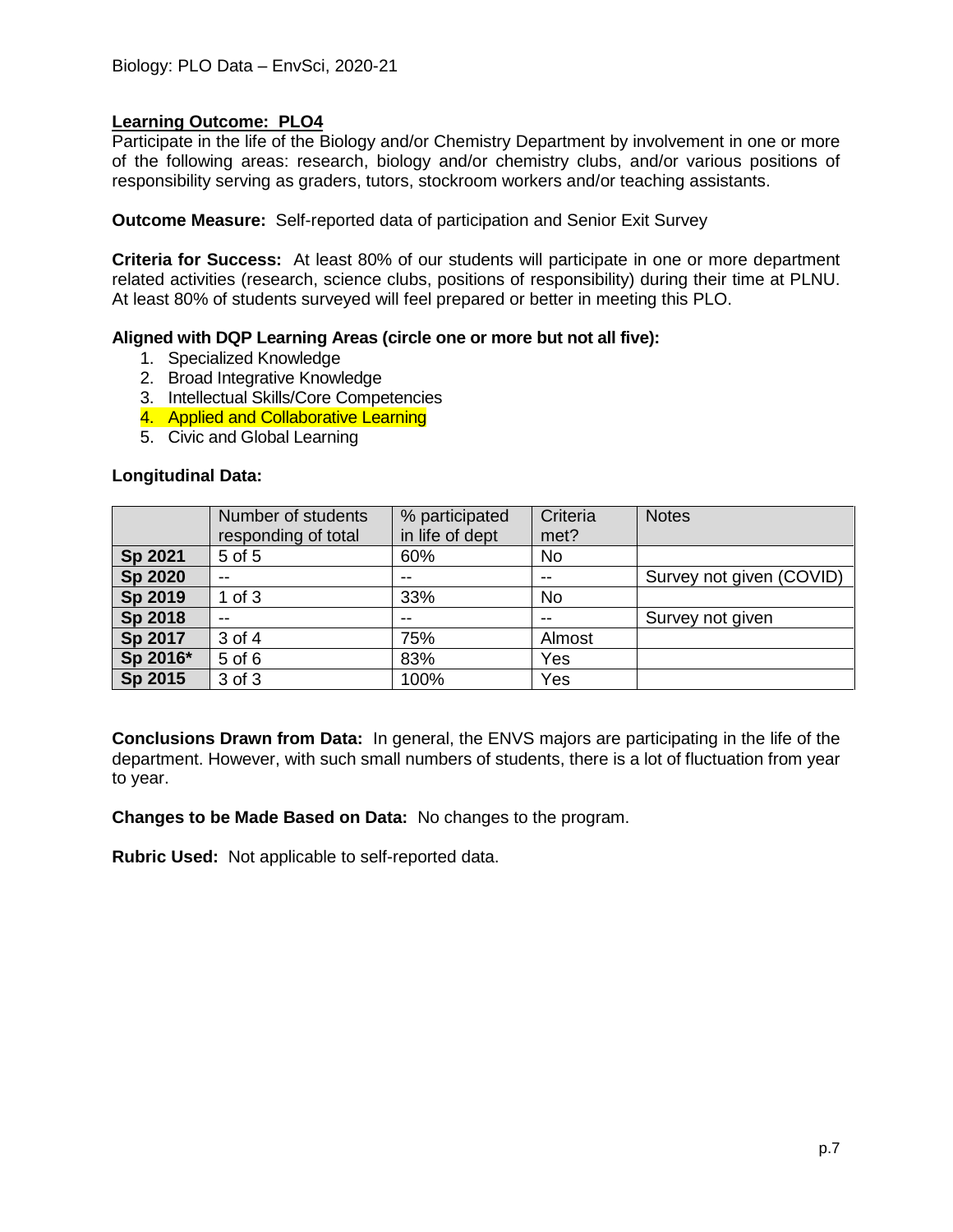Participate in the life of the Biology and/or Chemistry Department by involvement in one or more of the following areas: research, biology and/or chemistry clubs, and/or various positions of responsibility serving as graders, tutors, stockroom workers and/or teaching assistants.

**Outcome Measure:** Self-reported data of participation and Senior Exit Survey

**Criteria for Success:** At least 80% of our students will participate in one or more department related activities (research, science clubs, positions of responsibility) during their time at PLNU. At least 80% of students surveyed will feel prepared or better in meeting this PLO.

#### **Aligned with DQP Learning Areas (circle one or more but not all five):**

- 1. Specialized Knowledge
- 2. Broad Integrative Knowledge
- 3. Intellectual Skills/Core Competencies
- 4. Applied and Collaborative Learning
- 5. Civic and Global Learning

#### **Longitudinal Data:**

|                | Number of students<br>responding of total | % participated<br>in life of dept | Criteria<br>met? | <b>Notes</b>             |
|----------------|-------------------------------------------|-----------------------------------|------------------|--------------------------|
| Sp 2021        | 5 of 5                                    | 60%                               | No               |                          |
| <b>Sp 2020</b> | $- -$                                     | --                                | $- -$            | Survey not given (COVID) |
| Sp 2019        | $1$ of $3$                                | 33%                               | <b>No</b>        |                          |
| Sp 2018        | $-$                                       | $-$                               | $- -$            | Survey not given         |
| Sp 2017        | 3 of 4                                    | 75%                               | Almost           |                          |
| Sp 2016*       | 5 of 6                                    | 83%                               | Yes              |                          |
| Sp 2015        | 3 of 3                                    | 100%                              | Yes              |                          |

**Conclusions Drawn from Data:** In general, the ENVS majors are participating in the life of the department. However, with such small numbers of students, there is a lot of fluctuation from year to year.

**Changes to be Made Based on Data:** No changes to the program.

**Rubric Used:** Not applicable to self-reported data.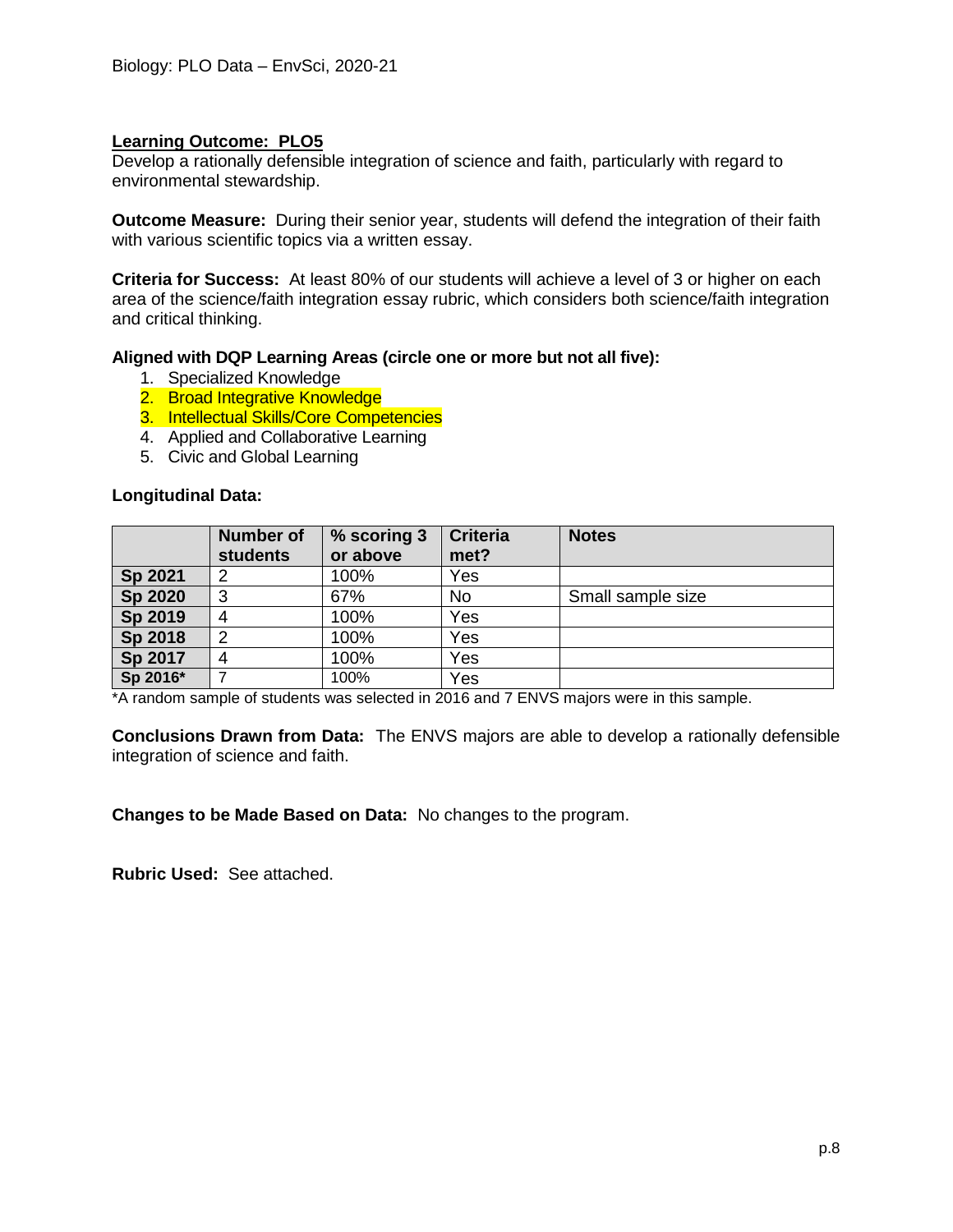Develop a rationally defensible integration of science and faith, particularly with regard to environmental stewardship.

**Outcome Measure:** During their senior year, students will defend the integration of their faith with various scientific topics via a written essay.

**Criteria for Success:** At least 80% of our students will achieve a level of 3 or higher on each area of the science/faith integration essay rubric, which considers both science/faith integration and critical thinking.

#### **Aligned with DQP Learning Areas (circle one or more but not all five):**

- 1. Specialized Knowledge
- 2. Broad Integrative Knowledge
- 3. Intellectual Skills/Core Competencies
- 4. Applied and Collaborative Learning
- 5. Civic and Global Learning

#### **Longitudinal Data:**

|          | <b>Number of</b><br><b>students</b> | % scoring 3<br>or above | <b>Criteria</b><br>met? | <b>Notes</b>      |
|----------|-------------------------------------|-------------------------|-------------------------|-------------------|
| Sp 2021  | ◠                                   | 100%                    | Yes                     |                   |
| Sp 2020  | 3                                   | 67%                     | No                      | Small sample size |
| Sp 2019  | 4                                   | 100%                    | Yes                     |                   |
| Sp 2018  | າ                                   | 100%                    | Yes                     |                   |
| Sp 2017  |                                     | 100%                    | Yes                     |                   |
| Sp 2016* |                                     | 100%                    | Yes                     |                   |

\*A random sample of students was selected in 2016 and 7 ENVS majors were in this sample.

**Conclusions Drawn from Data:** The ENVS majors are able to develop a rationally defensible integration of science and faith.

**Changes to be Made Based on Data:** No changes to the program.

**Rubric Used:** See attached.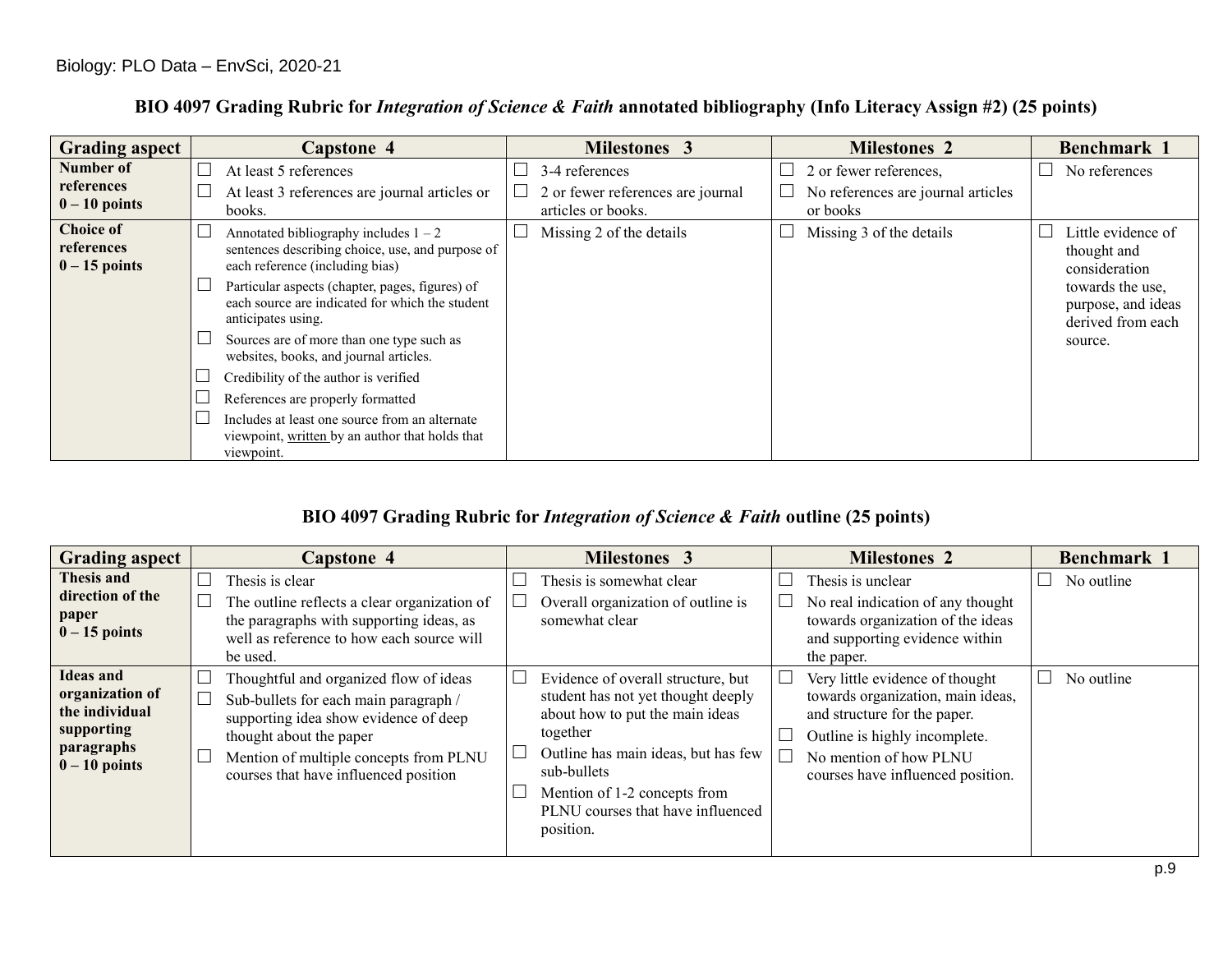| <b>Grading aspect</b>                             | <b>Capstone 4</b>                                                                                                              | <b>Milestones 3</b>                                     | <b>Milestones 2</b>                            | Benchmark 1                                                 |
|---------------------------------------------------|--------------------------------------------------------------------------------------------------------------------------------|---------------------------------------------------------|------------------------------------------------|-------------------------------------------------------------|
| Number of                                         | At least 5 references                                                                                                          | 3-4 references                                          | 2 or fewer references,                         | No references                                               |
| references<br>$0 - 10$ points                     | At least 3 references are journal articles or<br>books.                                                                        | 2 or fewer references are journal<br>articles or books. | No references are journal articles<br>or books |                                                             |
| <b>Choice of</b><br>references<br>$0 - 15$ points | Annotated bibliography includes $1 - 2$<br>sentences describing choice, use, and purpose of<br>each reference (including bias) | Missing 2 of the details                                | Missing 3 of the details                       | Little evidence of<br>thought and<br>consideration          |
|                                                   | Particular aspects (chapter, pages, figures) of<br>each source are indicated for which the student<br>anticipates using.       |                                                         |                                                | towards the use,<br>purpose, and ideas<br>derived from each |
|                                                   | Sources are of more than one type such as<br>websites, books, and journal articles.                                            |                                                         |                                                | source.                                                     |
|                                                   | Credibility of the author is verified                                                                                          |                                                         |                                                |                                                             |
|                                                   | References are properly formatted                                                                                              |                                                         |                                                |                                                             |
|                                                   | Includes at least one source from an alternate<br>viewpoint, written by an author that holds that<br>viewpoint.                |                                                         |                                                |                                                             |

# **BIO 4097 Grading Rubric for** *Integration of Science & Faith* **annotated bibliography (Info Literacy Assign #2) (25 points)**

# **BIO 4097 Grading Rubric for** *Integration of Science & Faith* **outline (25 points)**

| <b>Grading aspect</b>                                                                                | <b>Capstone 4</b>                                                                                                                                                                                                                      | <b>Milestones 3</b>                                                                                                                                                                                                                                                       | <b>Milestones 2</b>                                                                                                                                                                                  | Benchmark 1 |
|------------------------------------------------------------------------------------------------------|----------------------------------------------------------------------------------------------------------------------------------------------------------------------------------------------------------------------------------------|---------------------------------------------------------------------------------------------------------------------------------------------------------------------------------------------------------------------------------------------------------------------------|------------------------------------------------------------------------------------------------------------------------------------------------------------------------------------------------------|-------------|
| Thesis and<br>direction of the<br>paper<br>$0 - 15$ points                                           | Thesis is clear<br>The outline reflects a clear organization of<br>the paragraphs with supporting ideas, as<br>well as reference to how each source will<br>be used.                                                                   | Thesis is somewhat clear<br>Overall organization of outline is<br>somewhat clear                                                                                                                                                                                          | Thesis is unclear<br>No real indication of any thought<br>towards organization of the ideas<br>and supporting evidence within<br>the paper.                                                          | No outline  |
| <b>Ideas and</b><br>organization of<br>the individual<br>supporting<br>paragraphs<br>$0 - 10$ points | Thoughtful and organized flow of ideas<br>Sub-bullets for each main paragraph /<br>supporting idea show evidence of deep<br>thought about the paper<br>Mention of multiple concepts from PLNU<br>courses that have influenced position | $\Box$<br>Evidence of overall structure, but<br>student has not yet thought deeply<br>about how to put the main ideas<br>together<br>Outline has main ideas, but has few<br>sub-bullets<br>Mention of 1-2 concepts from<br>PLNU courses that have influenced<br>position. | Very little evidence of thought<br>towards organization, main ideas,<br>and structure for the paper.<br>Outline is highly incomplete.<br>No mention of how PLNU<br>courses have influenced position. | No outline  |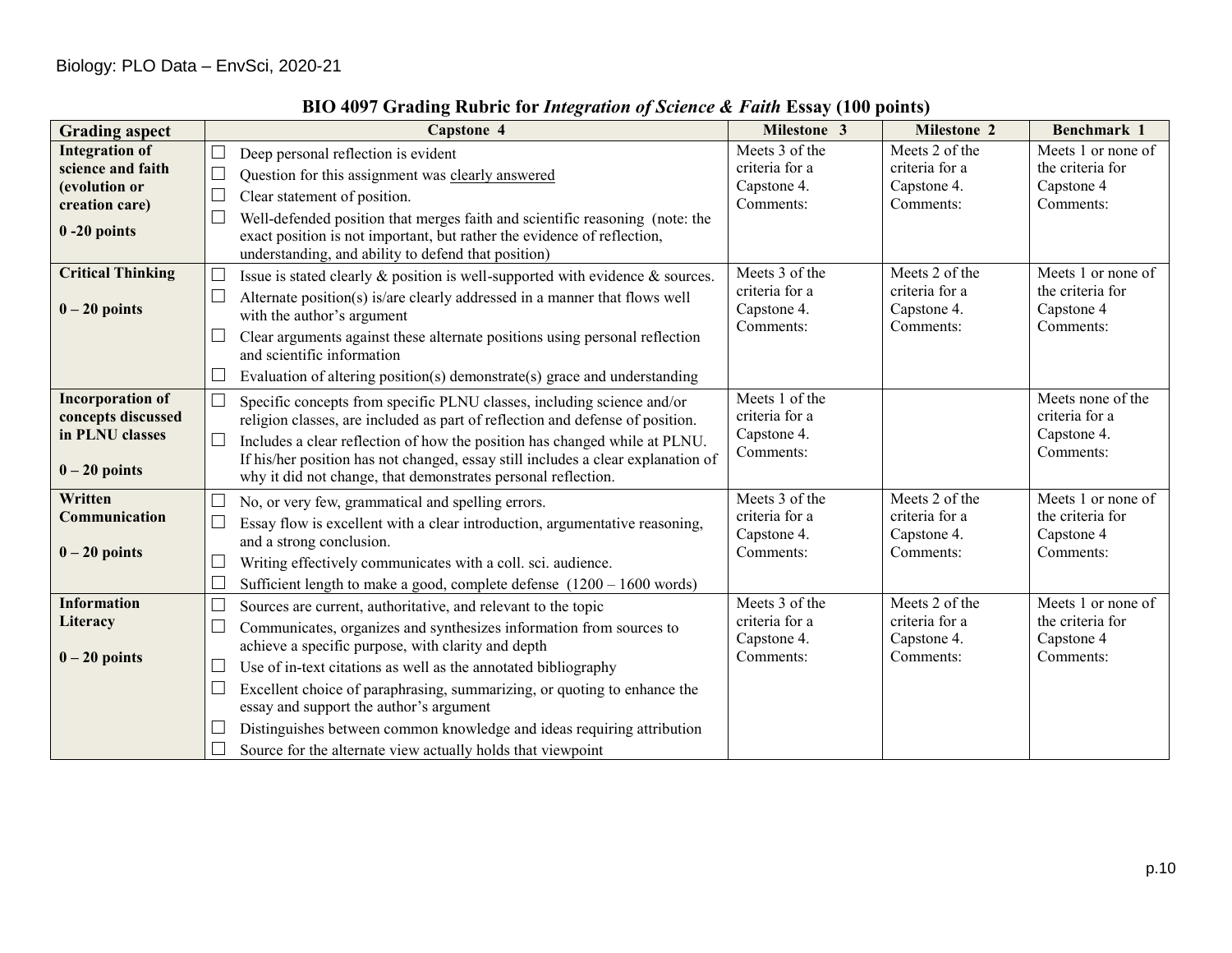| <b>Grading aspect</b>                                                                            | <b>Capstone 4</b>                                                                                                                                                                                                                                                                                                                                                                                                                                                                                                                                     | Milestone 3                                                  | <b>Milestone 2</b>                                           | Benchmark 1                                                       |
|--------------------------------------------------------------------------------------------------|-------------------------------------------------------------------------------------------------------------------------------------------------------------------------------------------------------------------------------------------------------------------------------------------------------------------------------------------------------------------------------------------------------------------------------------------------------------------------------------------------------------------------------------------------------|--------------------------------------------------------------|--------------------------------------------------------------|-------------------------------------------------------------------|
| <b>Integration of</b><br>science and faith<br>(evolution or<br>creation care)<br>$0 - 20$ points | Deep personal reflection is evident<br>Question for this assignment was clearly answered<br>$\Box$<br>Clear statement of position.<br>Well-defended position that merges faith and scientific reasoning (note: the<br>exact position is not important, but rather the evidence of reflection,<br>understanding, and ability to defend that position)                                                                                                                                                                                                  | Meets 3 of the<br>criteria for a<br>Capstone 4.<br>Comments: | Meets 2 of the<br>criteria for a<br>Capstone 4.<br>Comments: | Meets 1 or none of<br>the criteria for<br>Capstone 4<br>Comments: |
| <b>Critical Thinking</b><br>$0 - 20$ points                                                      | Issue is stated clearly $\&$ position is well-supported with evidence $\&$ sources.<br>Alternate position(s) is/are clearly addressed in a manner that flows well<br>$\Box$<br>with the author's argument<br>Clear arguments against these alternate positions using personal reflection<br>$\Box$<br>and scientific information<br>Evaluation of altering position(s) demonstrate(s) grace and understanding                                                                                                                                         | Meets 3 of the<br>criteria for a<br>Capstone 4.<br>Comments: | Meets 2 of the<br>criteria for a<br>Capstone 4.<br>Comments: | Meets 1 or none of<br>the criteria for<br>Capstone 4<br>Comments: |
| <b>Incorporation of</b><br>concepts discussed<br>in PLNU classes<br>$0 - 20$ points              | $\Box$<br>Specific concepts from specific PLNU classes, including science and/or<br>religion classes, are included as part of reflection and defense of position.<br>$\Box$<br>Includes a clear reflection of how the position has changed while at PLNU.<br>If his/her position has not changed, essay still includes a clear explanation of<br>why it did not change, that demonstrates personal reflection.                                                                                                                                        | Meets 1 of the<br>criteria for a<br>Capstone 4.<br>Comments: |                                                              | Meets none of the<br>criteria for a<br>Capstone 4.<br>Comments:   |
| Written<br>Communication<br>$0 - 20$ points                                                      | No, or very few, grammatical and spelling errors.<br>Essay flow is excellent with a clear introduction, argumentative reasoning,<br>$\Box$<br>and a strong conclusion.<br>Writing effectively communicates with a coll. sci. audience.<br>$\Box$<br>Sufficient length to make a good, complete defense $(1200 - 1600$ words)                                                                                                                                                                                                                          | Meets 3 of the<br>criteria for a<br>Capstone 4.<br>Comments: | Meets 2 of the<br>criteria for a<br>Capstone 4.<br>Comments: | Meets 1 or none of<br>the criteria for<br>Capstone 4<br>Comments: |
| <b>Information</b><br>Literacy<br>$0 - 20$ points                                                | $\Box$<br>Sources are current, authoritative, and relevant to the topic<br>Communicates, organizes and synthesizes information from sources to<br>П<br>achieve a specific purpose, with clarity and depth<br>Use of in-text citations as well as the annotated bibliography<br>⊔<br>Excellent choice of paraphrasing, summarizing, or quoting to enhance the<br>⊔<br>essay and support the author's argument<br>Distinguishes between common knowledge and ideas requiring attribution<br>Source for the alternate view actually holds that viewpoint | Meets 3 of the<br>criteria for a<br>Capstone 4.<br>Comments: | Meets 2 of the<br>criteria for a<br>Capstone 4.<br>Comments: | Meets 1 or none of<br>the criteria for<br>Capstone 4<br>Comments: |

# **BIO 4097 Grading Rubric for** *Integration of Science & Faith* **Essay (100 points)**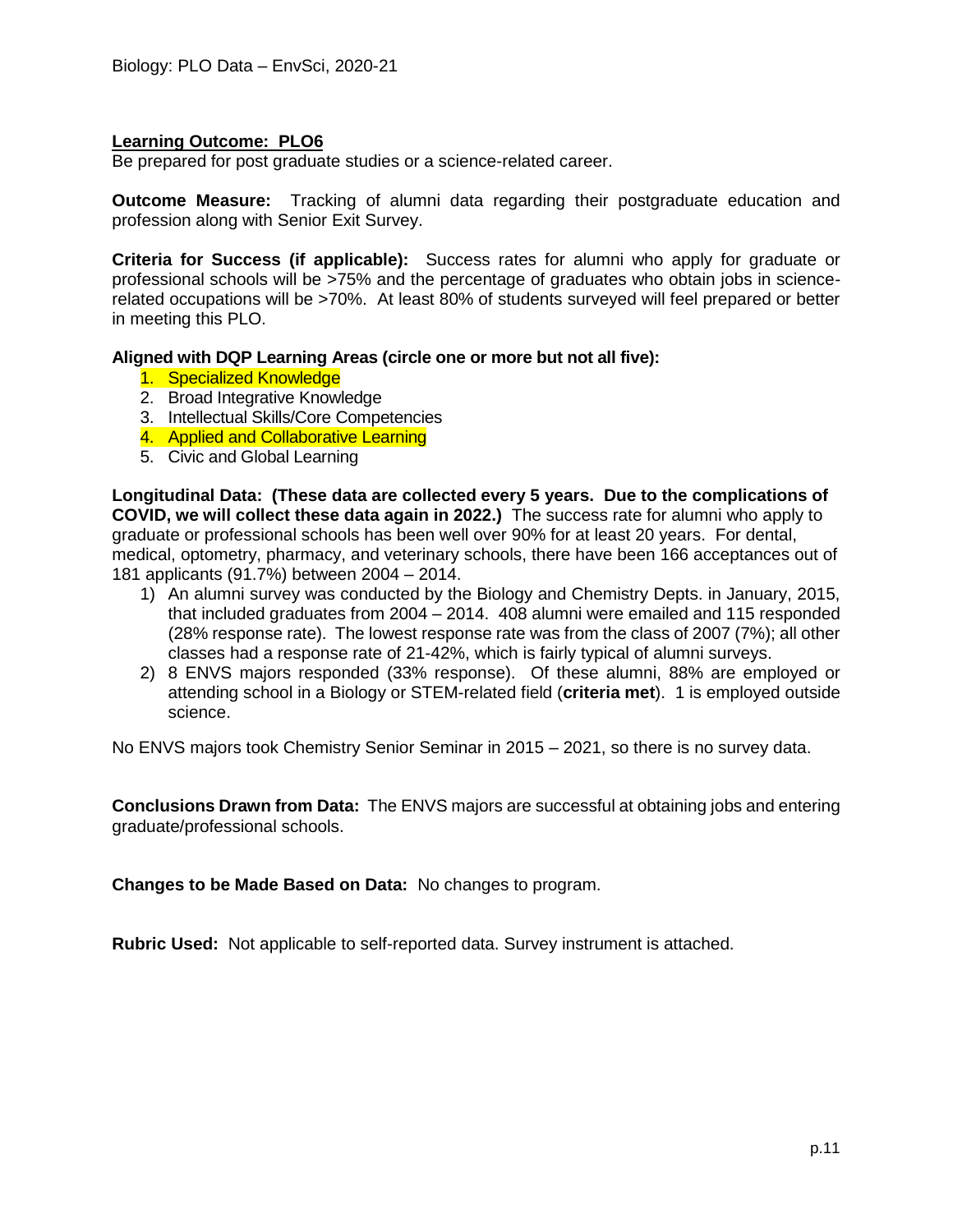Be prepared for post graduate studies or a science-related career.

**Outcome Measure:** Tracking of alumni data regarding their postgraduate education and profession along with Senior Exit Survey.

**Criteria for Success (if applicable):** Success rates for alumni who apply for graduate or professional schools will be >75% and the percentage of graduates who obtain jobs in sciencerelated occupations will be >70%. At least 80% of students surveyed will feel prepared or better in meeting this PLO.

#### **Aligned with DQP Learning Areas (circle one or more but not all five):**

- 1. Specialized Knowledge
- 2. Broad Integrative Knowledge
- 3. Intellectual Skills/Core Competencies
- 4. Applied and Collaborative Learning
- 5. Civic and Global Learning

**Longitudinal Data: (These data are collected every 5 years. Due to the complications of COVID, we will collect these data again in 2022.)** The success rate for alumni who apply to graduate or professional schools has been well over 90% for at least 20 years. For dental, medical, optometry, pharmacy, and veterinary schools, there have been 166 acceptances out of 181 applicants (91.7%) between 2004 – 2014.

- 1) An alumni survey was conducted by the Biology and Chemistry Depts. in January, 2015, that included graduates from 2004 – 2014. 408 alumni were emailed and 115 responded (28% response rate). The lowest response rate was from the class of 2007 (7%); all other classes had a response rate of 21-42%, which is fairly typical of alumni surveys.
- 2) 8 ENVS majors responded (33% response). Of these alumni, 88% are employed or attending school in a Biology or STEM-related field (**criteria met**). 1 is employed outside science.

No ENVS majors took Chemistry Senior Seminar in 2015 – 2021, so there is no survey data.

**Conclusions Drawn from Data:** The ENVS majors are successful at obtaining jobs and entering graduate/professional schools.

**Changes to be Made Based on Data:** No changes to program.

**Rubric Used:** Not applicable to self-reported data. Survey instrument is attached.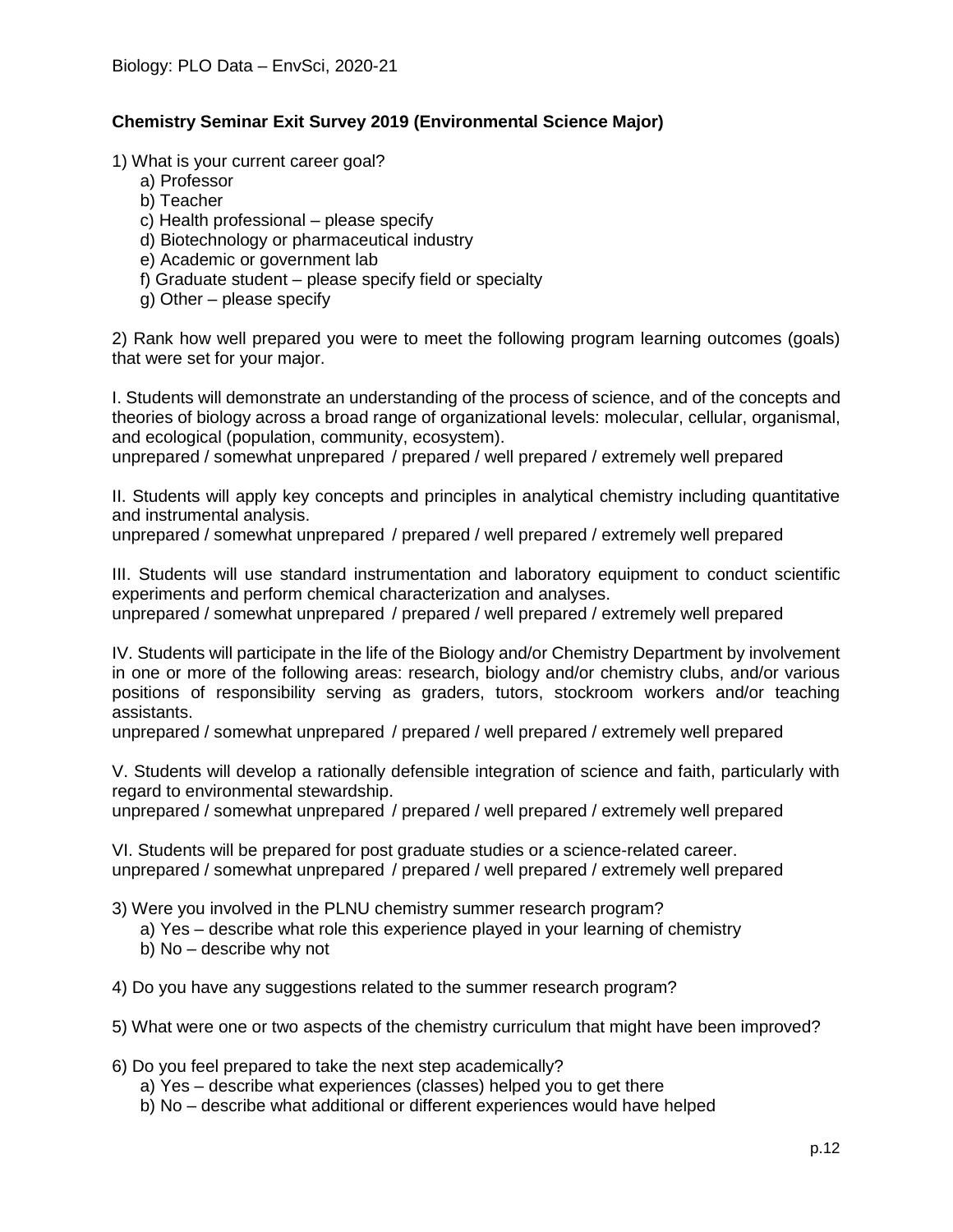# **Chemistry Seminar Exit Survey 2019 (Environmental Science Major)**

1) What is your current career goal?

- a) Professor
- b) Teacher
- c) Health professional please specify
- d) Biotechnology or pharmaceutical industry
- e) Academic or government lab
- f) Graduate student please specify field or specialty
- g) Other please specify

2) Rank how well prepared you were to meet the following program learning outcomes (goals) that were set for your major.

I. Students will demonstrate an understanding of the process of science, and of the concepts and theories of biology across a broad range of organizational levels: molecular, cellular, organismal, and ecological (population, community, ecosystem).

unprepared / somewhat unprepared / prepared / well prepared / extremely well prepared

II. Students will apply key concepts and principles in analytical chemistry including quantitative and instrumental analysis.

unprepared / somewhat unprepared / prepared / well prepared / extremely well prepared

III. Students will use standard instrumentation and laboratory equipment to conduct scientific experiments and perform chemical characterization and analyses.

unprepared / somewhat unprepared / prepared / well prepared / extremely well prepared

IV. Students will participate in the life of the Biology and/or Chemistry Department by involvement in one or more of the following areas: research, biology and/or chemistry clubs, and/or various positions of responsibility serving as graders, tutors, stockroom workers and/or teaching assistants.

unprepared / somewhat unprepared / prepared / well prepared / extremely well prepared

V. Students will develop a rationally defensible integration of science and faith, particularly with regard to environmental stewardship.

unprepared / somewhat unprepared / prepared / well prepared / extremely well prepared

VI. Students will be prepared for post graduate studies or a science-related career. unprepared / somewhat unprepared / prepared / well prepared / extremely well prepared

3) Were you involved in the PLNU chemistry summer research program?

- a) Yes describe what role this experience played in your learning of chemistry
- b) No describe why not
- 4) Do you have any suggestions related to the summer research program?
- 5) What were one or two aspects of the chemistry curriculum that might have been improved?
- 6) Do you feel prepared to take the next step academically?
	- a) Yes describe what experiences (classes) helped you to get there
	- b) No describe what additional or different experiences would have helped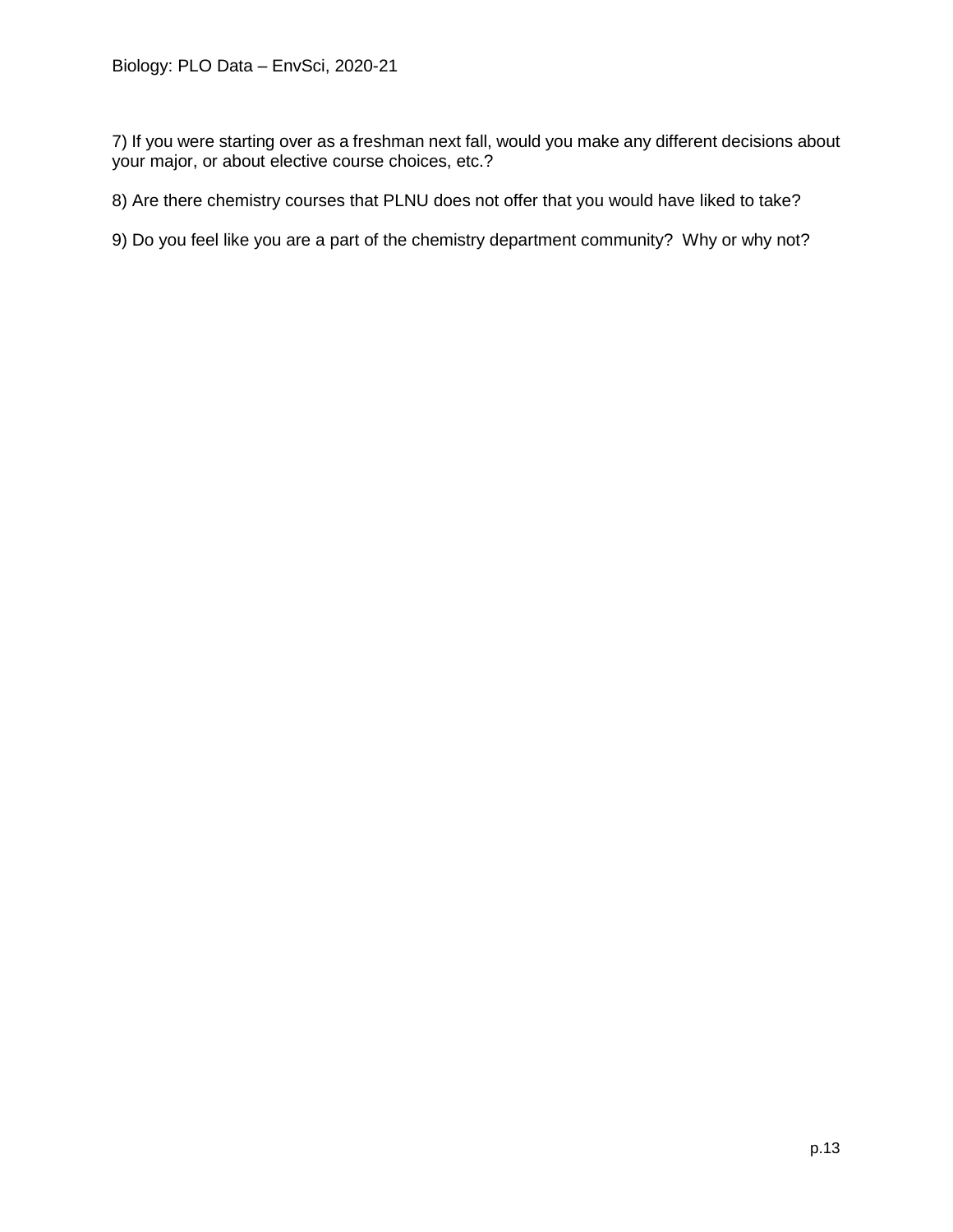7) If you were starting over as a freshman next fall, would you make any different decisions about your major, or about elective course choices, etc.?

8) Are there chemistry courses that PLNU does not offer that you would have liked to take?

9) Do you feel like you are a part of the chemistry department community? Why or why not?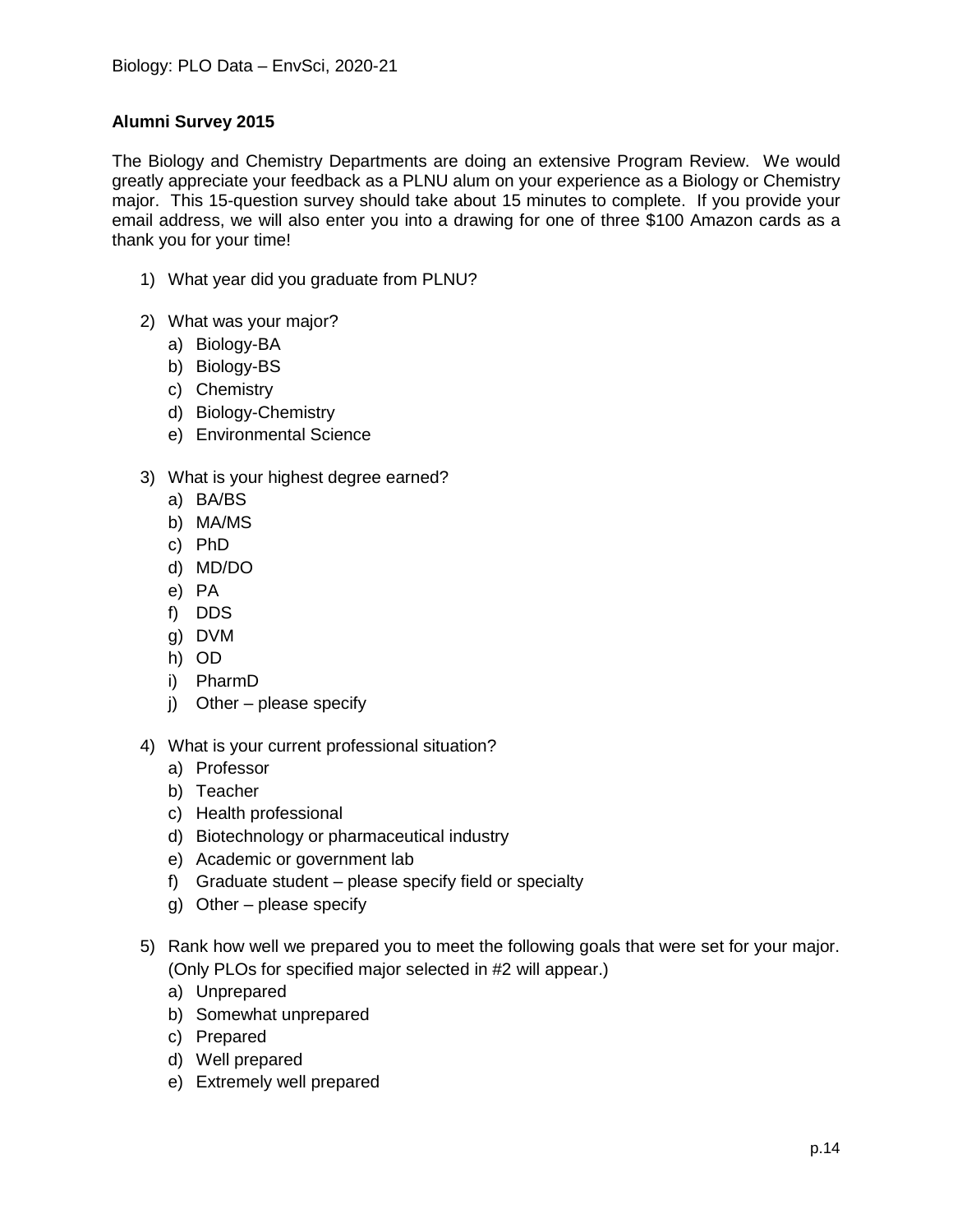# **Alumni Survey 2015**

The Biology and Chemistry Departments are doing an extensive Program Review. We would greatly appreciate your feedback as a PLNU alum on your experience as a Biology or Chemistry major. This 15-question survey should take about 15 minutes to complete. If you provide your email address, we will also enter you into a drawing for one of three \$100 Amazon cards as a thank you for your time!

- 1) What year did you graduate from PLNU?
- 2) What was your major?
	- a) Biology-BA
	- b) Biology-BS
	- c) Chemistry
	- d) Biology-Chemistry
	- e) Environmental Science
- 3) What is your highest degree earned?
	- a) BA/BS
	- b) MA/MS
	- c) PhD
	- d) MD/DO
	- e) PA
	- f) DDS
	- g) DVM
	- h) OD
	- i) PharmD
	- j) Other please specify
- 4) What is your current professional situation?
	- a) Professor
	- b) Teacher
	- c) Health professional
	- d) Biotechnology or pharmaceutical industry
	- e) Academic or government lab
	- f) Graduate student please specify field or specialty
	- g) Other please specify
- 5) Rank how well we prepared you to meet the following goals that were set for your major. (Only PLOs for specified major selected in #2 will appear.)
	- a) Unprepared
	- b) Somewhat unprepared
	- c) Prepared
	- d) Well prepared
	- e) Extremely well prepared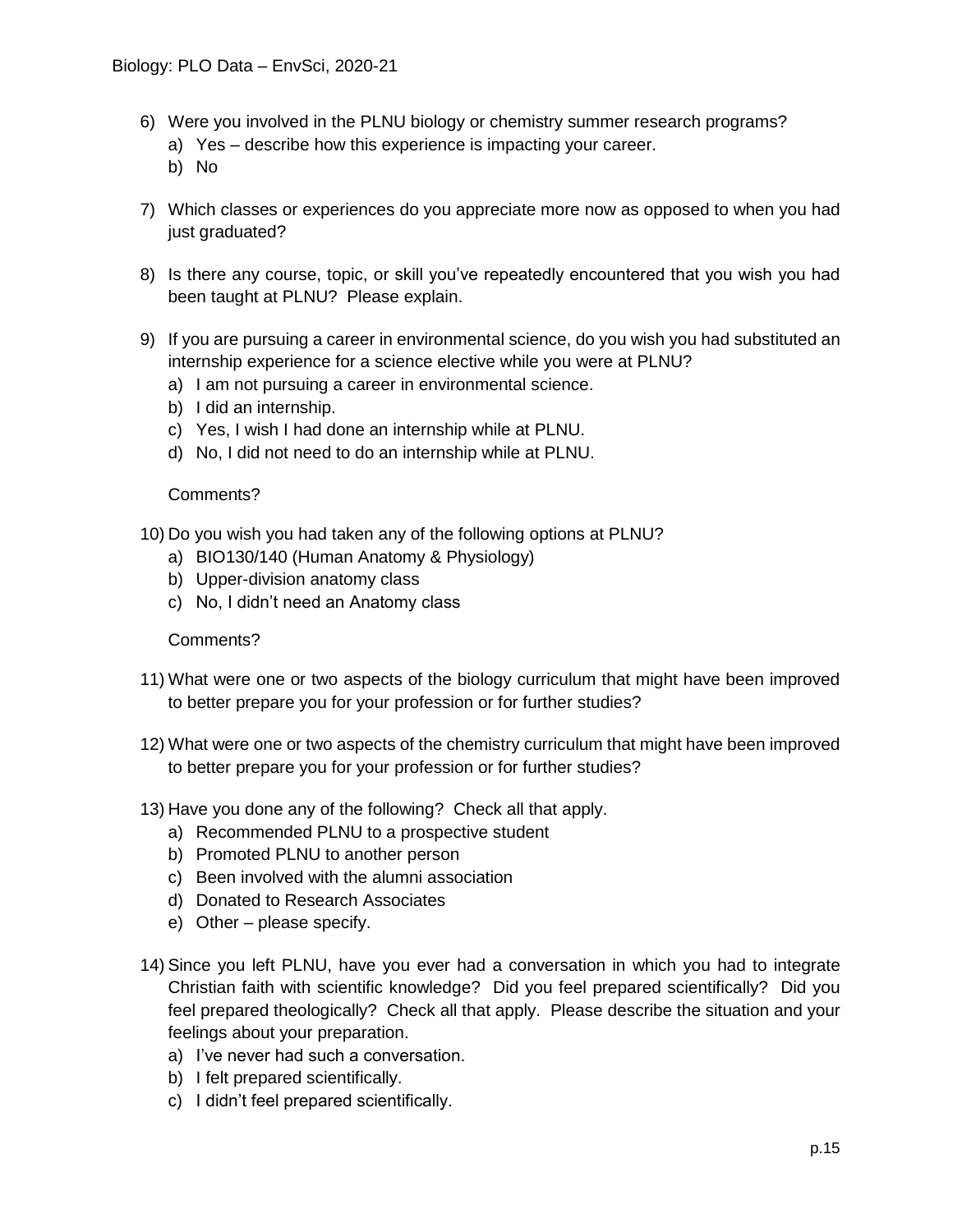- 6) Were you involved in the PLNU biology or chemistry summer research programs?
	- a) Yes describe how this experience is impacting your career.
	- b) No
- 7) Which classes or experiences do you appreciate more now as opposed to when you had just graduated?
- 8) Is there any course, topic, or skill you've repeatedly encountered that you wish you had been taught at PLNU? Please explain.
- 9) If you are pursuing a career in environmental science, do you wish you had substituted an internship experience for a science elective while you were at PLNU?
	- a) I am not pursuing a career in environmental science.
	- b) I did an internship.
	- c) Yes, I wish I had done an internship while at PLNU.
	- d) No, I did not need to do an internship while at PLNU.

#### Comments?

- 10) Do you wish you had taken any of the following options at PLNU?
	- a) BIO130/140 (Human Anatomy & Physiology)
	- b) Upper-division anatomy class
	- c) No, I didn't need an Anatomy class

## Comments?

- 11) What were one or two aspects of the biology curriculum that might have been improved to better prepare you for your profession or for further studies?
- 12) What were one or two aspects of the chemistry curriculum that might have been improved to better prepare you for your profession or for further studies?
- 13) Have you done any of the following? Check all that apply.
	- a) Recommended PLNU to a prospective student
	- b) Promoted PLNU to another person
	- c) Been involved with the alumni association
	- d) Donated to Research Associates
	- e) Other please specify.
- 14) Since you left PLNU, have you ever had a conversation in which you had to integrate Christian faith with scientific knowledge? Did you feel prepared scientifically? Did you feel prepared theologically? Check all that apply. Please describe the situation and your feelings about your preparation.
	- a) I've never had such a conversation.
	- b) I felt prepared scientifically.
	- c) I didn't feel prepared scientifically.